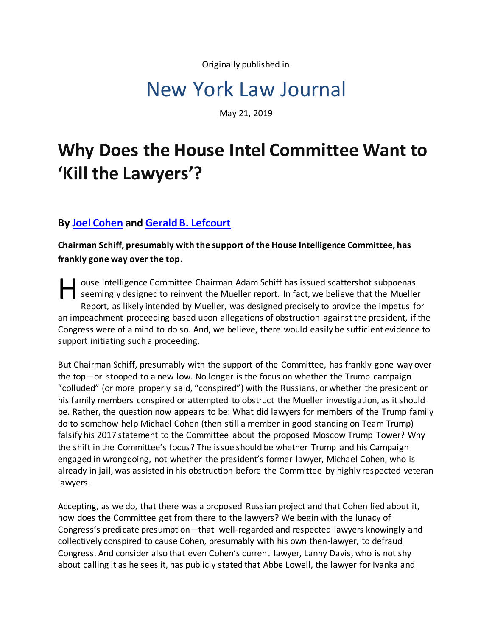Originally published in

## New York Law Journal

May 21, 2019

## **Why Does the House Intel Committee Want to 'Kill the Lawyers'?**

## **B[y Joel Cohen](https://www.stroock.com/people/JCohen) an[d Gerald B. Lefcourt](https://www.lefcourtlaw.com/)**

**Chairman Schiff, presumably with the support of the House Intelligence Committee, has frankly gone way over the top.**

ouse Intelligence Committee Chairman Adam Schiff has issued scattershot subpoenas<br>
seemingly designed to reinvent the Mueller report. In fact, we believe that the Mueller<br>
Report, as likely intended by Mueller, was designe seemingly designed to reinvent the Mueller report. In fact, we believe that the Mueller Report, as likely intended by Mueller, was designed precisely to provide the impetus for an impeachment proceeding based upon allegations of obstruction against the president, if the Congress were of a mind to do so. And, we believe, there would easily be sufficient evidence to support initiating such a proceeding.

But Chairman Schiff, presumably with the support of the Committee, has frankly gone way over the top—or stooped to a new low. No longer is the focus on whether the Trump campaign "colluded" (or more properly said, "conspired") with the Russians, or whether the president or his family members conspired or attempted to obstruct the Mueller investigation, as it should be. Rather, the question now appears to be: What did lawyers for members of the Trump family do to somehow help Michael Cohen (then still a member in good standing on Team Trump) falsify his 2017 statement to the Committee about the proposed Moscow Trump Tower? Why the shift in the Committee's focus? The issue should be whether Trump and his Campaign engaged in wrongdoing, not whether the president's former lawyer, Michael Cohen, who is already in jail, was assisted in his obstruction before the Committee by highly respected veteran lawyers.

Accepting, as we do, that there was a proposed Russian project and that Cohen lied about it, how does the Committee get from there to the lawyers? We begin with the lunacy of Congress's predicate presumption—that well-regarded and respected lawyers knowingly and collectively conspired to cause Cohen, presumably with his own then-lawyer, to defraud Congress. And consider also that even Cohen's current lawyer, Lanny Davis, who is not shy about calling it as he sees it, has publicly stated that Abbe Lowell, the lawyer for Ivanka and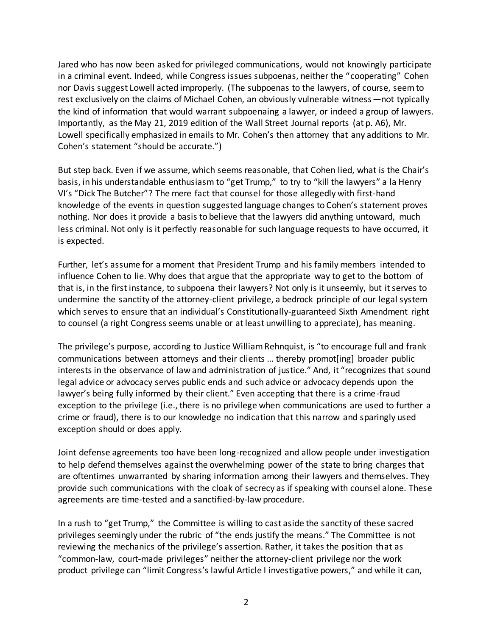Jared who has now been asked for privileged communications, would not knowingly participate in a criminal event. Indeed, while Congress issues subpoenas, neither the "cooperating" Cohen nor Davis suggest Lowell acted improperly. (The subpoenas to the lawyers, of course, seem to rest exclusively on the claims of Michael Cohen, an obviously vulnerable witness—not typically the kind of information that would warrant subpoenaing a lawyer, or indeed a group of lawyers. Importantly, as the May 21, 2019 edition of the Wall Street Journal reports (at p. A6), Mr. Lowell specifically emphasized in emails to Mr. Cohen's then attorney that any additions to Mr. Cohen's statement "should be accurate.")

But step back. Even if we assume, which seems reasonable, that Cohen lied, what is the Chair's basis, in his understandable enthusiasm to "get Trump," to try to "kill the lawyers" a la Henry VI's "Dick The Butcher"? The mere fact that counsel for those allegedly with first-hand knowledge of the events in question suggested language changes to Cohen's statement proves nothing. Nor does it provide a basis to believe that the lawyers did anything untoward, much less criminal. Not only is it perfectly reasonable for such language requests to have occurred, it is expected.

Further, let's assume for a moment that President Trump and his family members intended to influence Cohen to lie. Why does that argue that the appropriate way to get to the bottom of that is, in the first instance, to subpoena their lawyers? Not only is it unseemly, but it serves to undermine the sanctity of the attorney-client privilege, a bedrock principle of our legal system which serves to ensure that an individual's Constitutionally-guaranteed Sixth Amendment right to counsel (a right Congress seems unable or at least unwilling to appreciate), has meaning.

The privilege's purpose, according to Justice William Rehnquist, is "to encourage full and frank communications between attorneys and their clients … thereby promot[ing] broader public interests in the observance of law and administration of justice." And, it "recognizes that sound legal advice or advocacy serves public ends and such advice or advocacy depends upon the lawyer's being fully informed by their client." Even accepting that there is a crime-fraud exception to the privilege (i.e., there is no privilege when communications are used to further a crime or fraud), there is to our knowledge no indication that this narrow and sparingly used exception should or does apply.

Joint defense agreements too have been long-recognized and allow people under investigation to help defend themselves against the overwhelming power of the state to bring charges that are oftentimes unwarranted by sharing information among their lawyers and themselves. They provide such communications with the cloak of secrecy as if speaking with counsel alone. These agreements are time-tested and a sanctified-by-law procedure.

In a rush to "get Trump," the Committee is willing to cast aside the sanctity of these sacred privileges seemingly under the rubric of "the ends justify the means." The Committee is not reviewing the mechanics of the privilege's assertion. Rather, it takes the position that as "common-law, court-made privileges" neither the attorney-client privilege nor the work product privilege can "limit Congress's lawful Article I investigative powers," and while it can,